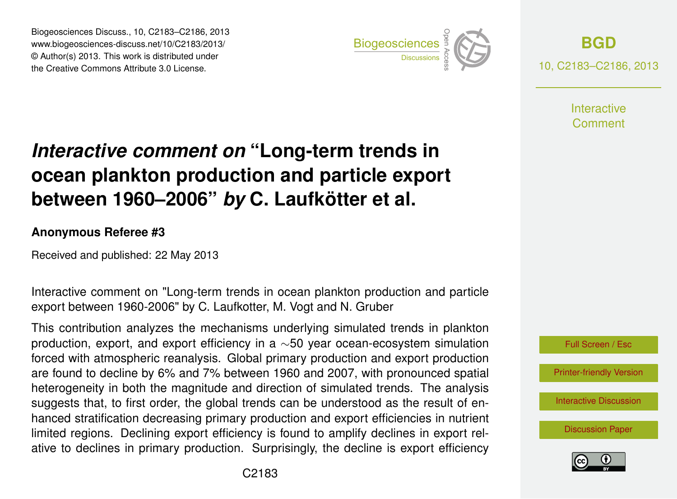Biogeosciences Discuss., 10, C2183–C2186, 2013 www.biogeosciences-discuss.net/10/C2183/2013/ www.biogeosciences-ulscuss.net/10/Oz100/2013/<br>© Author(s) 2013. This work is distributed under the Creative Commons Attribute 3.0 License.



**[BGD](http://www.biogeosciences-discuss.net)** 10, C2183–C2186, 2013

> **Interactive** Comment

## Earth System ocean plankton production and particle export  $\overline{\mathbf{u}}$  $\mathbf t$ *Interactive comment on* "Long-term trends in between 1960–2006" *by* C. Laufkötter et al.

## Instrumentation **Anonymous Referee #3**

Received and published: 22 May 2013

Interactive comment on "Long-term trends in ocean plankton production and particle export between 1960-2006" by C. Laufkotter, M. Vogt and N. Gruber ו<br>ס  $\mathbf{b}$ 

production, export, and export efficiency in a  $\sim$ 50 year ocean-ecosystem simulation forced with atmospheric reanalysis. Global primary production and export production are found to decline by 6% and 7% between 1960 and 2007, with pronounced spatial y<br>v n<br>o<br>d heterogeneity in both the magnitude and direction of simulated trends. The analysis nanced stratification decreasing primary production and export emclencies in numerities.<br>Iimited regions. Declining export efficiency is found to amplify declines in export relu'<br>n<br>n ان<br>ا<br><إ hanced stratification decreasing primary production and export efficiencies in nutrient This contribution analyzes the mechanisms underlying simulated trends in plankton suggests that, to first order, the global trends can be understood as the result of enative to declines in primary production. Surprisingly, the decline is export efficiency



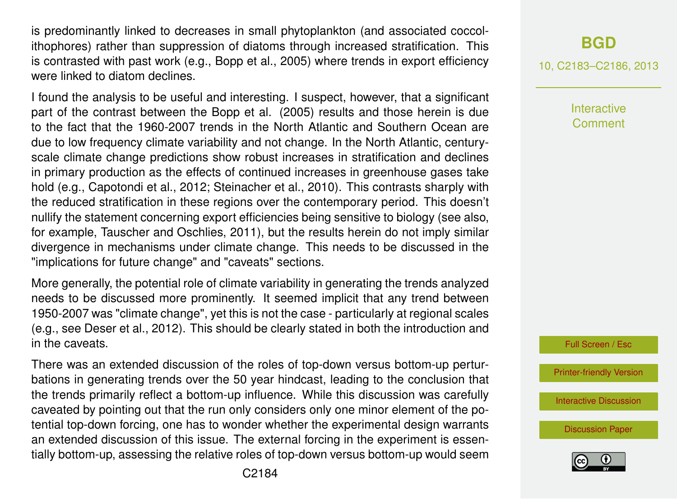is predominantly linked to decreases in small phytoplankton (and associated coccolithophores) rather than suppression of diatoms through increased stratification. This is contrasted with past work (e.g., Bopp et al., 2005) where trends in export efficiency were linked to diatom declines.

I found the analysis to be useful and interesting. I suspect, however, that a significant part of the contrast between the Bopp et al. (2005) results and those herein is due to the fact that the 1960-2007 trends in the North Atlantic and Southern Ocean are due to low frequency climate variability and not change. In the North Atlantic, centuryscale climate change predictions show robust increases in stratification and declines in primary production as the effects of continued increases in greenhouse gases take hold (e.g., Capotondi et al., 2012; Steinacher et al., 2010). This contrasts sharply with the reduced stratification in these regions over the contemporary period. This doesn't nullify the statement concerning export efficiencies being sensitive to biology (see also, for example, Tauscher and Oschlies, 2011), but the results herein do not imply similar divergence in mechanisms under climate change. This needs to be discussed in the "implications for future change" and "caveats" sections.

More generally, the potential role of climate variability in generating the trends analyzed needs to be discussed more prominently. It seemed implicit that any trend between 1950-2007 was "climate change", yet this is not the case - particularly at regional scales (e.g., see Deser et al., 2012). This should be clearly stated in both the introduction and in the caveats.

There was an extended discussion of the roles of top-down versus bottom-up perturbations in generating trends over the 50 year hindcast, leading to the conclusion that the trends primarily reflect a bottom-up influence. While this discussion was carefully caveated by pointing out that the run only considers only one minor element of the potential top-down forcing, one has to wonder whether the experimental design warrants an extended discussion of this issue. The external forcing in the experiment is essentially bottom-up, assessing the relative roles of top-down versus bottom-up would seem

## **[BGD](http://www.biogeosciences-discuss.net)**

10, C2183–C2186, 2013

**Interactive** Comment

Full Screen / Esc

[Printer-friendly Version](http://www.biogeosciences-discuss.net/10/C2183/2013/bgd-10-C2183-2013-print.pdf)

[Interactive Discussion](http://www.biogeosciences-discuss.net/10/5923/2013/bgd-10-5923-2013-discussion.html)

[Discussion Paper](http://www.biogeosciences-discuss.net/10/5923/2013/bgd-10-5923-2013.pdf)

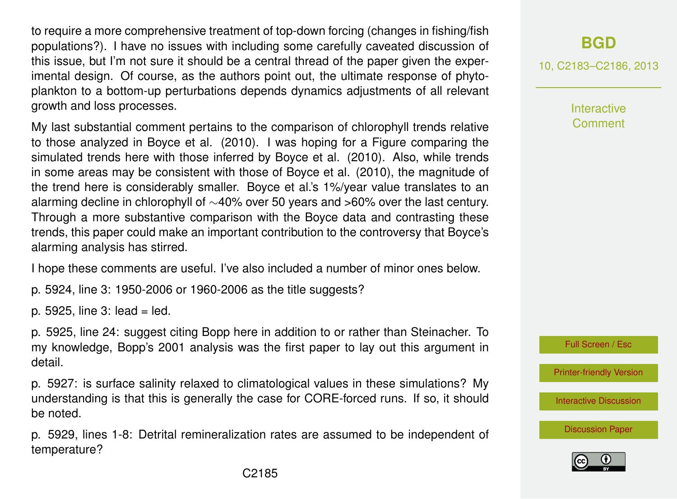to require a more comprehensive treatment of top-down forcing (changes in fishing/fish populations?). I have no issues with including some carefully caveated discussion of this issue, but I'm not sure it should be a central thread of the paper given the experimental design. Of course, as the authors point out, the ultimate response of phytoplankton to a bottom-up perturbations depends dynamics adjustments of all relevant growth and loss processes.

My last substantial comment pertains to the comparison of chlorophyll trends relative to those analyzed in Boyce et al. (2010). I was hoping for a Figure comparing the simulated trends here with those inferred by Boyce et al. (2010). Also, while trends in some areas may be consistent with those of Boyce et al. (2010), the magnitude of the trend here is considerably smaller. Boyce et al.'s 1%/year value translates to an alarming decline in chlorophyll of ∼40% over 50 years and >60% over the last century. Through a more substantive comparison with the Boyce data and contrasting these trends, this paper could make an important contribution to the controversy that Boyce's alarming analysis has stirred.

I hope these comments are useful. I've also included a number of minor ones below.

p. 5924, line 3: 1950-2006 or 1960-2006 as the title suggests?

p. 5925, line  $3:$  lead = led.

p. 5925, line 24: suggest citing Bopp here in addition to or rather than Steinacher. To my knowledge, Bopp's 2001 analysis was the first paper to lay out this argument in detail.

p. 5927: is surface salinity relaxed to climatological values in these simulations? My understanding is that this is generally the case for CORE-forced runs. If so, it should be noted.

p. 5929, lines 1-8: Detrital remineralization rates are assumed to be independent of temperature?

10, C2183–C2186, 2013

**Interactive Comment** 



[Printer-friendly Version](http://www.biogeosciences-discuss.net/10/C2183/2013/bgd-10-C2183-2013-print.pdf)

[Interactive Discussion](http://www.biogeosciences-discuss.net/10/5923/2013/bgd-10-5923-2013-discussion.html)

[Discussion Paper](http://www.biogeosciences-discuss.net/10/5923/2013/bgd-10-5923-2013.pdf)